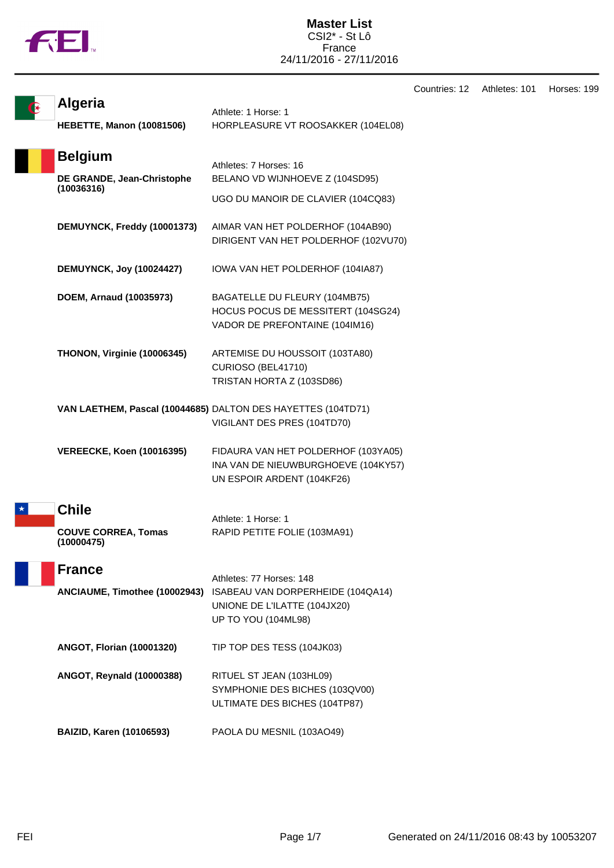|  | N |
|--|---|
|  |   |

**Master List** CSI2\* - St Lô France 24/11/2016 - 27/11/2016

|         |                                                          |                                                                                                          | Countries: 12 | Athletes: 101 | Horses: 199 |
|---------|----------------------------------------------------------|----------------------------------------------------------------------------------------------------------|---------------|---------------|-------------|
|         | <b>Algeria</b>                                           | Athlete: 1 Horse: 1                                                                                      |               |               |             |
|         | <b>HEBETTE, Manon (10081506)</b>                         | HORPLEASURE VT ROOSAKKER (104EL08)                                                                       |               |               |             |
|         | <b>Belgium</b>                                           | Athletes: 7 Horses: 16                                                                                   |               |               |             |
|         | DE GRANDE, Jean-Christophe<br>(10036316)                 | BELANO VD WIJNHOEVE Z (104SD95)                                                                          |               |               |             |
|         |                                                          | UGO DU MANOIR DE CLAVIER (104CQ83)                                                                       |               |               |             |
|         | DEMUYNCK, Freddy (10001373)                              | AIMAR VAN HET POLDERHOF (104AB90)<br>DIRIGENT VAN HET POLDERHOF (102VU70)                                |               |               |             |
|         | <b>DEMUYNCK, Joy (10024427)</b>                          | IOWA VAN HET POLDERHOF (104IA87)                                                                         |               |               |             |
|         | DOEM, Arnaud (10035973)                                  | BAGATELLE DU FLEURY (104MB75)<br>HOCUS POCUS DE MESSITERT (104SG24)<br>VADOR DE PREFONTAINE (104IM16)    |               |               |             |
|         | THONON, Virginie (10006345)                              | ARTEMISE DU HOUSSOIT (103TA80)<br>CURIOSO (BEL41710)<br>TRISTAN HORTA Z (103SD86)                        |               |               |             |
|         |                                                          | VAN LAETHEM, Pascal (10044685) DALTON DES HAYETTES (104TD71)<br>VIGILANT DES PRES (104TD70)              |               |               |             |
|         | <b>VEREECKE, Koen (10016395)</b>                         | FIDAURA VAN HET POLDERHOF (103YA05)<br>INA VAN DE NIEUWBURGHOEVE (104KY57)<br>UN ESPOIR ARDENT (104KF26) |               |               |             |
| $\star$ | <b>Chile</b><br><b>COUVE CORREA, Tomas</b><br>(10000475) | Athlete: 1 Horse: 1<br>RAPID PETITE FOLIE (103MA91)                                                      |               |               |             |
|         | <b>France</b>                                            | Athletes: 77 Horses: 148                                                                                 |               |               |             |
|         | ANCIAUME, Timothee (10002943)                            | ISABEAU VAN DORPERHEIDE (104QA14)<br>UNIONE DE L'ILATTE (104JX20)<br>UP TO YOU (104ML98)                 |               |               |             |
|         | <b>ANGOT, Florian (10001320)</b>                         | TIP TOP DES TESS (104JK03)                                                                               |               |               |             |
|         | ANGOT, Reynald (10000388)                                | RITUEL ST JEAN (103HL09)<br>SYMPHONIE DES BICHES (103QV00)<br>ULTIMATE DES BICHES (104TP87)              |               |               |             |
|         | <b>BAIZID, Karen (10106593)</b>                          | PAOLA DU MESNIL (103AO49)                                                                                |               |               |             |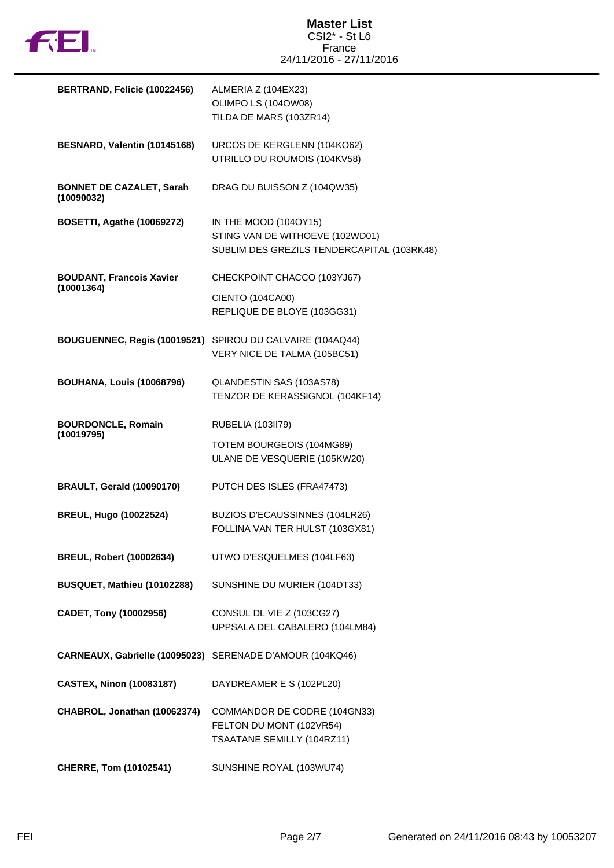

| BERTRAND, Felicie (10022456)                  | ALMERIA Z (104EX23)<br>OLIMPO LS (104OW08)<br>TILDA DE MARS (103ZR14)                                  |
|-----------------------------------------------|--------------------------------------------------------------------------------------------------------|
| BESNARD, Valentin (10145168)                  | URCOS DE KERGLENN (104KO62)<br>UTRILLO DU ROUMOIS (104KV58)                                            |
| <b>BONNET DE CAZALET, Sarah</b><br>(10090032) | DRAG DU BUISSON Z (104QW35)                                                                            |
| <b>BOSETTI, Agathe (10069272)</b>             | IN THE MOOD (104OY15)<br>STING VAN DE WITHOEVE (102WD01)<br>SUBLIM DES GREZILS TENDERCAPITAL (103RK48) |
| <b>BOUDANT, Francois Xavier</b>               | CHECKPOINT CHACCO (103YJ67)                                                                            |
| (10001364)                                    | CIENTO (104CA00)<br>REPLIQUE DE BLOYE (103GG31)                                                        |
|                                               | BOUGUENNEC, Regis (10019521) SPIROU DU CALVAIRE (104AQ44)<br>VERY NICE DE TALMA (105BC51)              |
| <b>BOUHANA, Louis (10068796)</b>              | QLANDESTIN SAS (103AS78)<br>TENZOR DE KERASSIGNOL (104KF14)                                            |
| <b>BOURDONCLE, Romain</b>                     | RUBELIA (103II79)                                                                                      |
| (10019795)                                    | TOTEM BOURGEOIS (104MG89)<br>ULANE DE VESQUERIE (105KW20)                                              |
| <b>BRAULT, Gerald (10090170)</b>              | PUTCH DES ISLES (FRA47473)                                                                             |
| <b>BREUL, Hugo (10022524)</b>                 | BUZIOS D'ECAUSSINNES (104LR26)<br>FOLLINA VAN TER HULST (103GX81)                                      |
| <b>BREUL, Robert (10002634)</b>               | UTWO D'ESQUELMES (104LF63)                                                                             |
| BUSQUET, Mathieu (10102288)                   | SUNSHINE DU MURIER (104DT33)                                                                           |
| CADET, Tony (10002956)                        | CONSUL DL VIE Z (103CG27)<br>UPPSALA DEL CABALERO (104LM84)                                            |
| CARNEAUX, Gabrielle (10095023)                | SERENADE D'AMOUR (104KQ46)                                                                             |
| <b>CASTEX, Ninon (10083187)</b>               | DAYDREAMER E S (102PL20)                                                                               |
| CHABROL, Jonathan (10062374)                  | COMMANDOR DE CODRE (104GN33)<br>FELTON DU MONT (102VR54)<br>TSAATANE SEMILLY (104RZ11)                 |
| CHERRE, Tom (10102541)                        | SUNSHINE ROYAL (103WU74)                                                                               |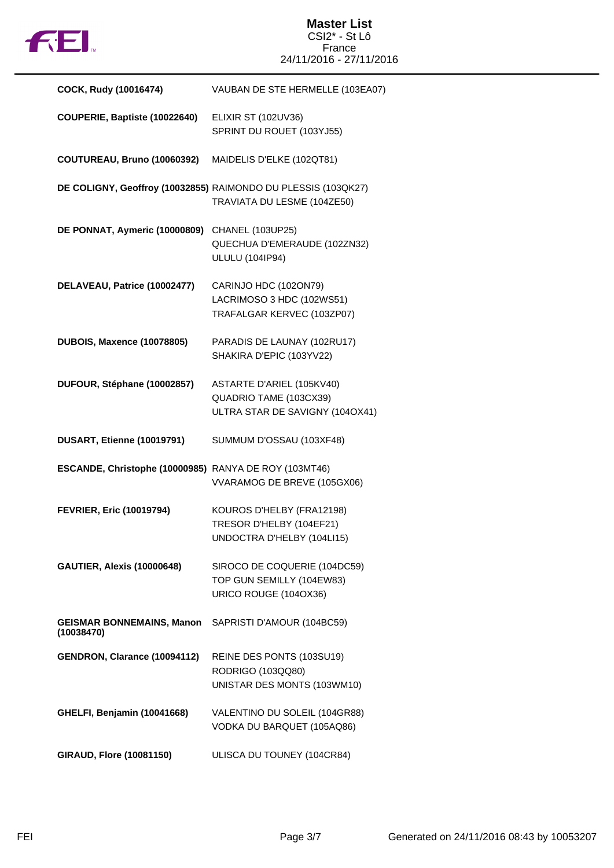

## **Master List** CSI2\* - St Lô France 24/11/2016 - 27/11/2016

| COCK, Rudy (10016474)                                 | VAUBAN DE STE HERMELLE (103EA07)                                                             |
|-------------------------------------------------------|----------------------------------------------------------------------------------------------|
| COUPERIE, Baptiste (10022640)                         | <b>ELIXIR ST (102UV36)</b><br>SPRINT DU ROUET (103YJ55)                                      |
| COUTUREAU, Bruno (10060392)                           | MAIDELIS D'ELKE (102QT81)                                                                    |
|                                                       | DE COLIGNY, Geoffroy (10032855) RAIMONDO DU PLESSIS (103QK27)<br>TRAVIATA DU LESME (104ZE50) |
| DE PONNAT, Aymeric (10000809)                         | CHANEL (103UP25)<br>QUECHUA D'EMERAUDE (102ZN32)<br><b>ULULU (104IP94)</b>                   |
| DELAVEAU, Patrice (10002477)                          | CARINJO HDC (102ON79)<br>LACRIMOSO 3 HDC (102WS51)<br>TRAFALGAR KERVEC (103ZP07)             |
| <b>DUBOIS, Maxence (10078805)</b>                     | PARADIS DE LAUNAY (102RU17)<br>SHAKIRA D'EPIC (103YV22)                                      |
| DUFOUR, Stéphane (10002857)                           | ASTARTE D'ARIEL (105KV40)<br>QUADRIO TAME (103CX39)<br>ULTRA STAR DE SAVIGNY (104OX41)       |
| DUSART, Etienne (10019791)                            | SUMMUM D'OSSAU (103XF48)                                                                     |
| ESCANDE, Christophe (10000985) RANYA DE ROY (103MT46) | VVARAMOG DE BREVE (105GX06)                                                                  |
| <b>FEVRIER, Eric (10019794)</b>                       | KOUROS D'HELBY (FRA12198)<br>TRESOR D'HELBY (104EF21)<br>UNDOCTRA D'HELBY (104LI15)          |
| <b>GAUTIER, Alexis (10000648)</b>                     | SIROCO DE COQUERIE (104DC59)<br>TOP GUN SEMILLY (104EW83)<br>URICO ROUGE (104OX36)           |
| <b>GEISMAR BONNEMAINS, Manon</b><br>(10038470)        | SAPRISTI D'AMOUR (104BC59)                                                                   |
| GENDRON, Clarance (10094112)                          | REINE DES PONTS (103SU19)<br>RODRIGO (103QQ80)<br>UNISTAR DES MONTS (103WM10)                |
| GHELFI, Benjamin (10041668)                           | VALENTINO DU SOLEIL (104GR88)<br>VODKA DU BARQUET (105AQ86)                                  |
| <b>GIRAUD, Flore (10081150)</b>                       | ULISCA DU TOUNEY (104CR84)                                                                   |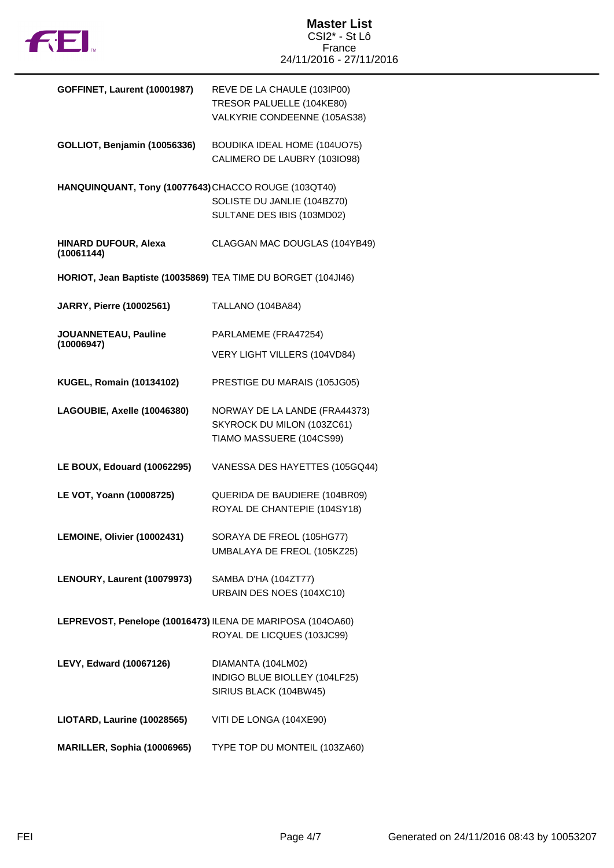

| <b>GOFFINET, Laurent (10001987)</b>                           | REVE DE LA CHAULE (103IP00)    |
|---------------------------------------------------------------|--------------------------------|
|                                                               | TRESOR PALUELLE (104KE80)      |
|                                                               | VALKYRIE CONDEENNE (105AS38)   |
|                                                               |                                |
| GOLLIOT, Benjamin (10056336)                                  | BOUDIKA IDEAL HOME (104UO75)   |
|                                                               | CALIMERO DE LAUBRY (103IO98)   |
|                                                               |                                |
| HANQUINQUANT, Tony (10077643) CHACCO ROUGE (103QT40)          |                                |
|                                                               | SOLISTE DU JANLIE (104BZ70)    |
|                                                               | SULTANE DES IBIS (103MD02)     |
|                                                               |                                |
| HINARD DUFOUR, Alexa                                          | CLAGGAN MAC DOUGLAS (104YB49)  |
| (10061144)                                                    |                                |
| HORIOT, Jean Baptiste (10035869) TEA TIME DU BORGET (104JI46) |                                |
|                                                               |                                |
| JARRY, Pierre (10002561)                                      | TALLANO (104BA84)              |
|                                                               |                                |
| JOUANNETEAU, Pauline                                          | PARLAMEME (FRA47254)           |
| (10006947)                                                    |                                |
|                                                               | VERY LIGHT VILLERS (104VD84)   |
|                                                               | PRESTIGE DU MARAIS (105JG05)   |
| <b>KUGEL, Romain (10134102)</b>                               |                                |
| LAGOUBIE, Axelle (10046380)                                   | NORWAY DE LA LANDE (FRA44373)  |
|                                                               | SKYROCK DU MILON (103ZC61)     |
|                                                               | TIAMO MASSUERE (104CS99)       |
|                                                               |                                |
| LE BOUX, Edouard (10062295)                                   | VANESSA DES HAYETTES (105GQ44) |
|                                                               |                                |
| LE VOT, Yoann (10008725)                                      | QUERIDA DE BAUDIERE (104BR09)  |
|                                                               | ROYAL DE CHANTEPIE (104SY18)   |
|                                                               |                                |
| LEMOINE, Olivier (10002431)                                   | SORAYA DE FREOL (105HG77)      |
|                                                               | UMBALAYA DE FREOL (105KZ25)    |
|                                                               |                                |
| LENOURY, Laurent (10079973)                                   | SAMBA D'HA (104ZT77)           |
|                                                               | URBAIN DES NOES (104XC10)      |
|                                                               |                                |
| LEPREVOST, Penelope (10016473) ILENA DE MARIPOSA (104OA60)    |                                |
|                                                               | ROYAL DE LICQUES (103JC99)     |
|                                                               |                                |
| LEVY, Edward (10067126)                                       | DIAMANTA (104LM02)             |
|                                                               | INDIGO BLUE BIOLLEY (104LF25)  |
|                                                               | SIRIUS BLACK (104BW45)         |
|                                                               |                                |
| LIOTARD, Laurine (10028565)                                   | VITI DE LONGA (104XE90)        |
|                                                               |                                |
| MARILLER, Sophia (10006965)                                   | TYPE TOP DU MONTEIL (103ZA60)  |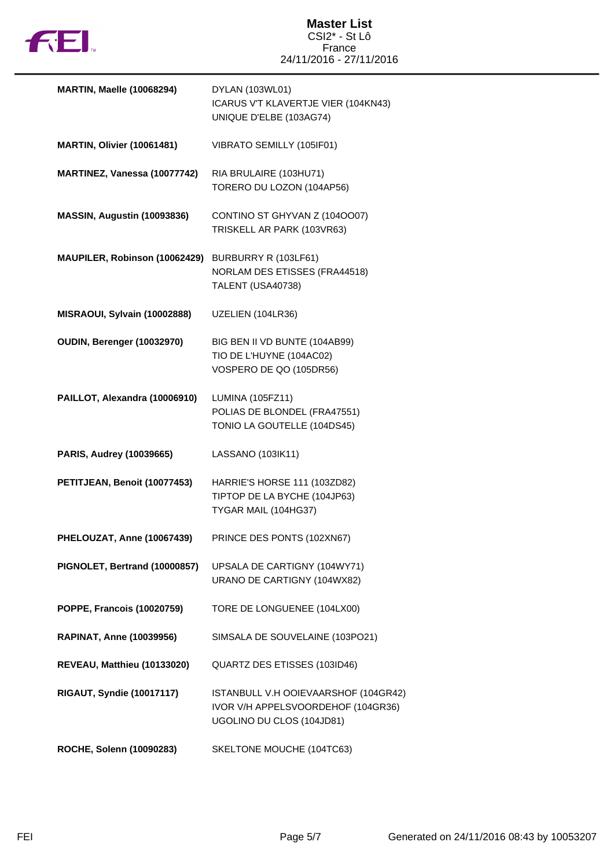

| <b>MARTIN, Maelle (10068294)</b>  | DYLAN (103WL01)<br>ICARUS V'T KLAVERTJE VIER (104KN43)<br>UNIQUE D'ELBE (103AG74)                       |
|-----------------------------------|---------------------------------------------------------------------------------------------------------|
| <b>MARTIN, Olivier (10061481)</b> | VIBRATO SEMILLY (105IF01)                                                                               |
| MARTINEZ, Vanessa (10077742)      | RIA BRULAIRE (103HU71)<br>TORERO DU LOZON (104AP56)                                                     |
| MASSIN, Augustin (10093836)       | CONTINO ST GHYVAN Z (1040007)<br>TRISKELL AR PARK (103VR63)                                             |
| MAUPILER, Robinson (10062429)     | BURBURRY R (103LF61)<br>NORLAM DES ETISSES (FRA44518)<br>TALENT (USA40738)                              |
| MISRAOUI, Sylvain (10002888)      | UZELIEN (104LR36)                                                                                       |
| OUDIN, Berenger (10032970)        | BIG BEN II VD BUNTE (104AB99)<br>TIO DE L'HUYNE (104AC02)<br>VOSPERO DE QO (105DR56)                    |
| PAILLOT, Alexandra (10006910)     | LUMINA (105FZ11)<br>POLIAS DE BLONDEL (FRA47551)<br>TONIO LA GOUTELLE (104DS45)                         |
| PARIS, Audrey (10039665)          | LASSANO (103IK11)                                                                                       |
| PETITJEAN, Benoit (10077453)      | HARRIE'S HORSE 111 (103ZD82)<br>TIPTOP DE LA BYCHE (104JP63)<br>TYGAR MAIL (104HG37)                    |
| PHELOUZAT, Anne (10067439)        | PRINCE DES PONTS (102XN67)                                                                              |
| PIGNOLET, Bertrand (10000857)     | UPSALA DE CARTIGNY (104WY71)<br>URANO DE CARTIGNY (104WX82)                                             |
| <b>POPPE, Francois (10020759)</b> | TORE DE LONGUENEE (104LX00)                                                                             |
| <b>RAPINAT, Anne (10039956)</b>   | SIMSALA DE SOUVELAINE (103PO21)                                                                         |
| REVEAU, Matthieu (10133020)       | QUARTZ DES ETISSES (103ID46)                                                                            |
| <b>RIGAUT, Syndie (10017117)</b>  | ISTANBULL V.H OOIEVAARSHOF (104GR42)<br>IVOR V/H APPELSVOORDEHOF (104GR36)<br>UGOLINO DU CLOS (104JD81) |
| ROCHE, Solenn (10090283)          | SKELTONE MOUCHE (104TC63)                                                                               |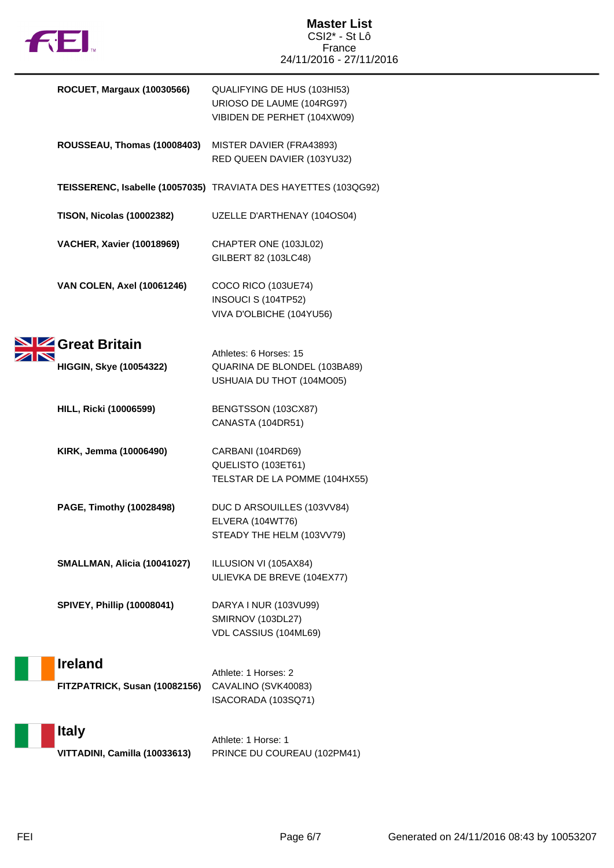

| <b>ROCUET, Margaux (10030566)</b>               | QUALIFYING DE HUS (103HI53)<br>URIOSO DE LAUME (104RG97)<br>VIBIDEN DE PERHET (104XW09) |
|-------------------------------------------------|-----------------------------------------------------------------------------------------|
| ROUSSEAU, Thomas (10008403)                     | MISTER DAVIER (FRA43893)<br>RED QUEEN DAVIER (103YU32)                                  |
|                                                 | TEISSERENC, Isabelle (10057035) TRAVIATA DES HAYETTES (103QG92)                         |
| <b>TISON, Nicolas (10002382)</b>                | UZELLE D'ARTHENAY (104OS04)                                                             |
| <b>VACHER, Xavier (10018969)</b>                | CHAPTER ONE (103JL02)<br>GILBERT 82 (103LC48)                                           |
| <b>VAN COLEN, Axel (10061246)</b>               | COCO RICO (103UE74)<br>INSOUCI S (104TP52)<br>VIVA D'OLBICHE (104YU56)                  |
| Great Britain<br><b>HIGGIN, Skye (10054322)</b> | Athletes: 6 Horses: 15<br>QUARINA DE BLONDEL (103BA89)<br>USHUAIA DU THOT (104MO05)     |
| <b>HILL, Ricki (10006599)</b>                   | BENGTSSON (103CX87)<br>CANASTA (104DR51)                                                |
| KIRK, Jemma (10006490)                          | CARBANI (104RD69)<br>QUELISTO (103ET61)<br>TELSTAR DE LA POMME (104HX55)                |
| PAGE, Timothy (10028498)                        | DUC D ARSOUILLES (103VV84)<br>ELVERA (104WT76)<br>STEADY THE HELM (103VV79)             |
| SMALLMAN, Alicia (10041027)                     | ILLUSION VI (105AX84)<br>ULIEVKA DE BREVE (104EX77)                                     |
| <b>SPIVEY, Phillip (10008041)</b>               | DARYA I NUR (103VU99)<br><b>SMIRNOV (103DL27)</b><br>VDL CASSIUS (104ML69)              |
| <b>Ireland</b><br>FITZPATRICK, Susan (10082156) | Athlete: 1 Horses: 2<br>CAVALINO (SVK40083)<br>ISACORADA (103SQ71)                      |
| <b>Italy</b><br>VITTADINI, Camilla (10033613)   | Athlete: 1 Horse: 1<br>PRINCE DU COUREAU (102PM41)                                      |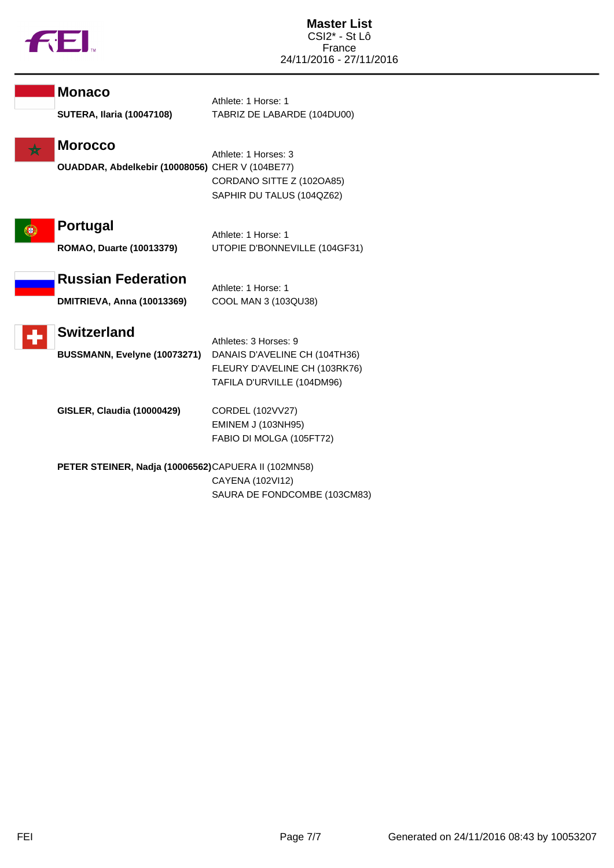

Г

| <b>Monaco</b>                                                     | Athlete: 1 Horse: 1                                                                                                   |
|-------------------------------------------------------------------|-----------------------------------------------------------------------------------------------------------------------|
| <b>SUTERA, Ilaria (10047108)</b>                                  | TABRIZ DE LABARDE (104DU00)                                                                                           |
| <b>Morocco</b><br>OUADDAR, Abdelkebir (10008056) CHER V (104BE77) | Athlete: 1 Horses: 3<br>CORDANO SITTE Z (102OA85)<br>SAPHIR DU TALUS (104QZ62)                                        |
| <b>Portugal</b><br><b>ROMAO, Duarte (10013379)</b>                | Athlete: 1 Horse: 1<br>UTOPIE D'BONNEVILLE (104GF31)                                                                  |
| <b>Russian Federation</b><br><b>DMITRIEVA, Anna (10013369)</b>    | Athlete: 1 Horse: 1<br>COOL MAN 3 (103QU38)                                                                           |
| <b>Switzerland</b><br>BUSSMANN, Evelyne (10073271)                | Athletes: 3 Horses: 9<br>DANAIS D'AVELINE CH (104TH36)<br>FLEURY D'AVELINE CH (103RK76)<br>TAFILA D'URVILLE (104DM96) |
| <b>GISLER, Claudia (10000429)</b>                                 | CORDEL (102VV27)<br><b>EMINEM J (103NH95)</b><br>FABIO DI MOLGA (105FT72)                                             |
| PETER STEINER, Nadja (10006562)CAPUERA II (102MN58)               | CAYENA (102VI12)<br>SAURA DE FONDCOMBE (103CM83)                                                                      |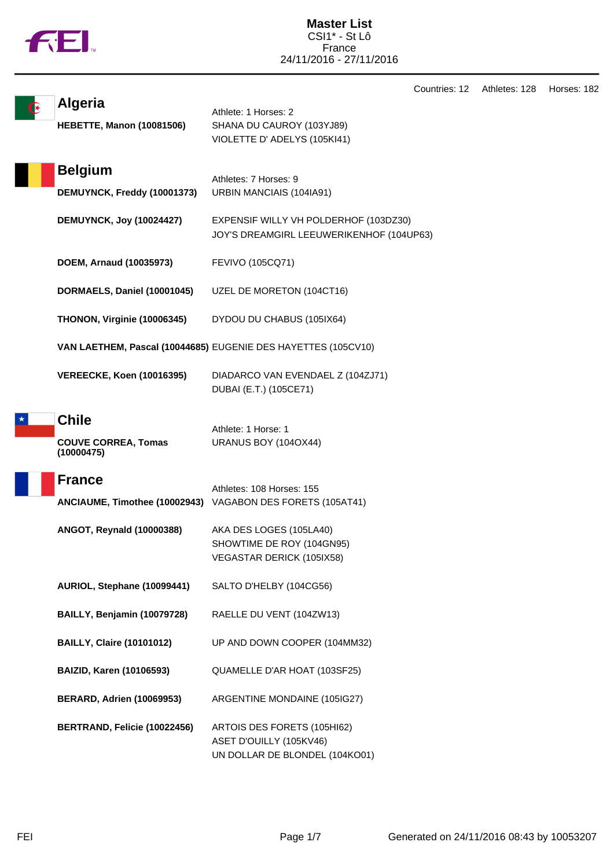|  | N |
|--|---|
|  |   |

Countries: 12 Athletes: 128 Horses: 182

| <b>Algeria</b><br><b>HEBETTE, Manon (10081506)</b>       | Athlete: 1 Horses: 2<br>SHANA DU CAUROY (103YJ89)<br>VIOLETTE D' ADELYS (105KI41)        |
|----------------------------------------------------------|------------------------------------------------------------------------------------------|
| <b>Belgium</b><br>DEMUYNCK, Freddy (10001373)            | Athletes: 7 Horses: 9<br>URBIN MANCIAIS (104IA91)                                        |
| <b>DEMUYNCK, Joy (10024427)</b>                          | EXPENSIF WILLY VH POLDERHOF (103DZ30)<br>JOY'S DREAMGIRL LEEUWERIKENHOF (104UP63)        |
| DOEM, Arnaud (10035973)                                  | FEVIVO (105CQ71)                                                                         |
| DORMAELS, Daniel (10001045)                              | UZEL DE MORETON (104CT16)                                                                |
| THONON, Virginie (10006345)                              | DYDOU DU CHABUS (105IX64)                                                                |
|                                                          | VAN LAETHEM, Pascal (10044685) EUGENIE DES HAYETTES (105CV10)                            |
| <b>VEREECKE, Koen (10016395)</b>                         | DIADARCO VAN EVENDAEL Z (104ZJ71)<br>DUBAI (E.T.) (105CE71)                              |
| <b>Chile</b><br><b>COUVE CORREA, Tomas</b><br>(10000475) | Athlete: 1 Horse: 1<br>URANUS BOY (104OX44)                                              |
| <b>France</b>                                            | Athletes: 108 Horses: 155<br>ANCIAUME, Timothee (10002943) VAGABON DES FORETS (105AT41)  |
| ANGOT, Reynald (10000388)                                | AKA DES LOGES (105LA40)<br>SHOWTIME DE ROY (104GN95)<br>VEGASTAR DERICK (105IX58)        |
| AURIOL, Stephane (10099441)                              | SALTO D'HELBY (104CG56)                                                                  |
| BAILLY, Benjamin (10079728)                              | RAELLE DU VENT (104ZW13)                                                                 |
| <b>BAILLY, Claire (10101012)</b>                         | UP AND DOWN COOPER (104MM32)                                                             |
| <b>BAIZID, Karen (10106593)</b>                          | QUAMELLE D'AR HOAT (103SF25)                                                             |
| <b>BERARD, Adrien (10069953)</b>                         | ARGENTINE MONDAINE (105IG27)                                                             |
| BERTRAND, Felicie (10022456)                             | ARTOIS DES FORETS (105HI62)<br>ASET D'OUILLY (105KV46)<br>UN DOLLAR DE BLONDEL (104KO01) |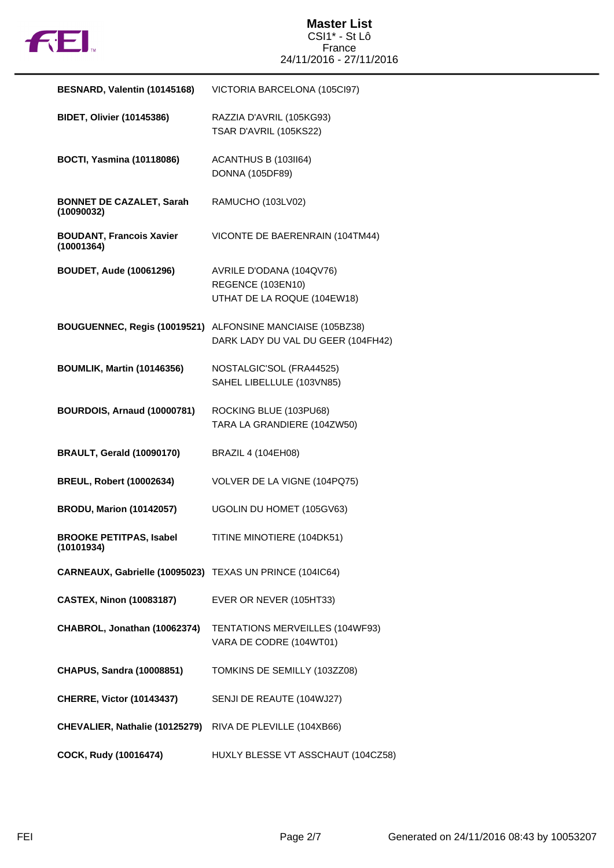

| BESNARD, Valentin (10145168)                             | VICTORIA BARCELONA (105Cl97)                                                                     |
|----------------------------------------------------------|--------------------------------------------------------------------------------------------------|
| <b>BIDET, Olivier (10145386)</b>                         | RAZZIA D'AVRIL (105KG93)<br>TSAR D'AVRIL (105KS22)                                               |
| <b>BOCTI, Yasmina (10118086)</b>                         | ACANTHUS B (103II64)<br><b>DONNA (105DF89)</b>                                                   |
| <b>BONNET DE CAZALET, Sarah</b><br>(10090032)            | RAMUCHO (103LV02)                                                                                |
| <b>BOUDANT, Francois Xavier</b><br>(10001364)            | VICONTE DE BAERENRAIN (104TM44)                                                                  |
| <b>BOUDET, Aude (10061296)</b>                           | AVRILE D'ODANA (104QV76)<br>REGENCE (103EN10)<br>UTHAT DE LA ROQUE (104EW18)                     |
|                                                          | BOUGUENNEC, Regis (10019521) ALFONSINE MANCIAISE (105BZ38)<br>DARK LADY DU VAL DU GEER (104FH42) |
| <b>BOUMLIK, Martin (10146356)</b>                        | NOSTALGIC'SOL (FRA44525)<br>SAHEL LIBELLULE (103VN85)                                            |
| <b>BOURDOIS, Arnaud (10000781)</b>                       | ROCKING BLUE (103PU68)<br>TARA LA GRANDIERE (104ZW50)                                            |
| <b>BRAULT, Gerald (10090170)</b>                         | <b>BRAZIL 4 (104EH08)</b>                                                                        |
| <b>BREUL, Robert (10002634)</b>                          | VOLVER DE LA VIGNE (104PQ75)                                                                     |
| <b>BRODU, Marion (10142057)</b>                          | UGOLIN DU HOMET (105GV63)                                                                        |
| <b>BROOKE PETITPAS, Isabel</b><br>(10101934)             | TITINE MINOTIERE (104DK51)                                                                       |
| CARNEAUX, Gabrielle (10095023) TEXAS UN PRINCE (104IC64) |                                                                                                  |
| <b>CASTEX, Ninon (10083187)</b>                          | EVER OR NEVER (105HT33)                                                                          |
| CHABROL, Jonathan (10062374)                             | TENTATIONS MERVEILLES (104WF93)<br>VARA DE CODRE (104WT01)                                       |
| <b>CHAPUS, Sandra (10008851)</b>                         | TOMKINS DE SEMILLY (103ZZ08)                                                                     |
| <b>CHERRE, Victor (10143437)</b>                         | SENJI DE REAUTE (104WJ27)                                                                        |
| CHEVALIER, Nathalie (10125279)                           | RIVA DE PLEVILLE (104XB66)                                                                       |
| COCK, Rudy (10016474)                                    | HUXLY BLESSE VT ASSCHAUT (104CZ58)                                                               |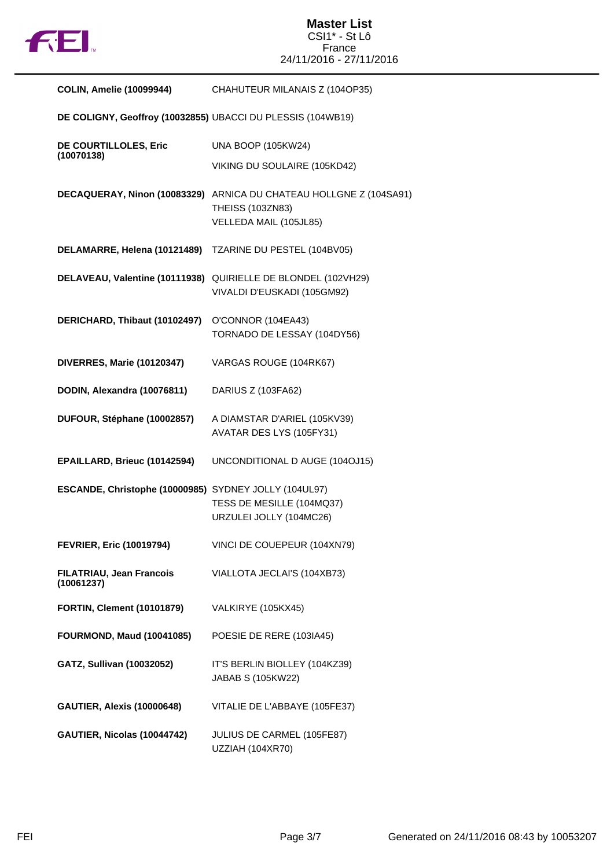

## **Master List** CSI1\* - St Lô France 24/11/2016 - 27/11/2016

| <b>COLIN, Amelie (10099944)</b>                             | CHAHUTEUR MILANAIS Z (104OP35)                                                                                   |
|-------------------------------------------------------------|------------------------------------------------------------------------------------------------------------------|
| DE COLIGNY, Geoffroy (10032855) UBACCI DU PLESSIS (104WB19) |                                                                                                                  |
| DE COURTILLOLES, Eric                                       | <b>UNA BOOP (105KW24)</b>                                                                                        |
| (10070138)                                                  | VIKING DU SOULAIRE (105KD42)                                                                                     |
|                                                             | DECAQUERAY, Ninon (10083329) ARNICA DU CHATEAU HOLLGNE Z (104SA91)<br>THEISS (103ZN83)<br>VELLEDA MAIL (105JL85) |
| DELAMARRE, Helena (10121489)                                | TZARINE DU PESTEL (104BV05)                                                                                      |
|                                                             | DELAVEAU, Valentine (10111938) QUIRIELLE DE BLONDEL (102VH29)<br>VIVALDI D'EUSKADI (105GM92)                     |
| DERICHARD, Thibaut (10102497)                               | O'CONNOR (104EA43)<br>TORNADO DE LESSAY (104DY56)                                                                |
| DIVERRES, Marie (10120347)                                  | VARGAS ROUGE (104RK67)                                                                                           |
| DODIN, Alexandra (10076811)                                 | DARIUS Z (103FA62)                                                                                               |
| DUFOUR, Stéphane (10002857)                                 | A DIAMSTAR D'ARIEL (105KV39)<br>AVATAR DES LYS (105FY31)                                                         |
| EPAILLARD, Brieuc (10142594)                                | UNCONDITIONAL D AUGE (104OJ15)                                                                                   |
| ESCANDE, Christophe (10000985) SYDNEY JOLLY (104UL97)       | TESS DE MESILLE (104MQ37)<br>URZULEI JOLLY (104MC26)                                                             |
| <b>FEVRIER, Eric (10019794)</b>                             | VINCI DE COUEPEUR (104XN79)                                                                                      |
| FILATRIAU, Jean Francois<br>(10061237)                      | VIALLOTA JECLAI'S (104XB73)                                                                                      |
| <b>FORTIN, Clement (10101879)</b>                           | VALKIRYE (105KX45)                                                                                               |
| <b>FOURMOND, Maud (10041085)</b>                            | POESIE DE RERE (103IA45)                                                                                         |
| GATZ, Sullivan (10032052)                                   | IT'S BERLIN BIOLLEY (104KZ39)<br>JABAB S (105KW22)                                                               |
| <b>GAUTIER, Alexis (10000648)</b>                           | VITALIE DE L'ABBAYE (105FE37)                                                                                    |
| GAUTIER, Nicolas (10044742)                                 | JULIUS DE CARMEL (105FE87)<br>UZZIAH (104XR70)                                                                   |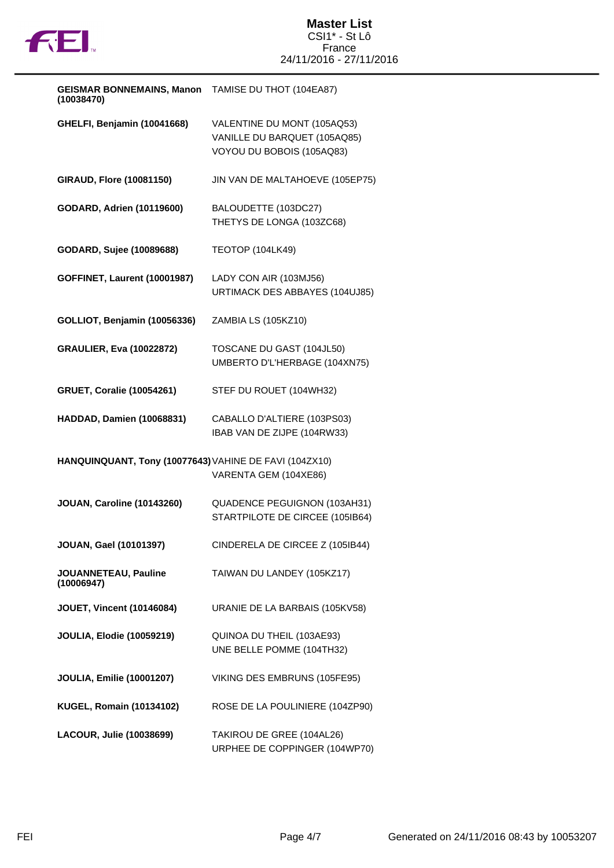

| <b>GEISMAR BONNEMAINS, Manon</b><br>(10038470)         | TAMISE DU THOT (104EA87)                                                                 |
|--------------------------------------------------------|------------------------------------------------------------------------------------------|
| GHELFI, Benjamin (10041668)                            | VALENTINE DU MONT (105AQ53)<br>VANILLE DU BARQUET (105AQ85)<br>VOYOU DU BOBOIS (105AQ83) |
| <b>GIRAUD, Flore (10081150)</b>                        | JIN VAN DE MALTAHOEVE (105EP75)                                                          |
| <b>GODARD, Adrien (10119600)</b>                       | BALOUDETTE (103DC27)<br>THETYS DE LONGA (103ZC68)                                        |
| GODARD, Sujee (10089688)                               | <b>TEOTOP (104LK49)</b>                                                                  |
| <b>GOFFINET, Laurent (10001987)</b>                    | LADY CON AIR (103MJ56)<br>URTIMACK DES ABBAYES (104UJ85)                                 |
| <b>GOLLIOT, Benjamin (10056336)</b>                    | ZAMBIA LS (105KZ10)                                                                      |
| <b>GRAULIER, Eva (10022872)</b>                        | TOSCANE DU GAST (104JL50)<br>UMBERTO D'L'HERBAGE (104XN75)                               |
| <b>GRUET, Coralie (10054261)</b>                       | STEF DU ROUET (104WH32)                                                                  |
| <b>HADDAD, Damien (10068831)</b>                       | CABALLO D'ALTIERE (103PS03)<br>IBAB VAN DE ZIJPE (104RW33)                               |
| HANQUINQUANT, Tony (10077643) VAHINE DE FAVI (104ZX10) | VARENTA GEM (104XE86)                                                                    |
| <b>JOUAN, Caroline (10143260)</b>                      | QUADENCE PEGUIGNON (103AH31)<br>STARTPILOTE DE CIRCEE (105IB64)                          |
| JOUAN, Gael (10101397)                                 | CINDERELA DE CIRCEE Z (105IB44)                                                          |
| JOUANNETEAU, Pauline<br>(10006947)                     | TAIWAN DU LANDEY (105KZ17)                                                               |
| <b>JOUET, Vincent (10146084)</b>                       | URANIE DE LA BARBAIS (105KV58)                                                           |
| <b>JOULIA, Elodie (10059219)</b>                       | QUINOA DU THEIL (103AE93)<br>UNE BELLE POMME (104TH32)                                   |
| <b>JOULIA, Emilie (10001207)</b>                       | VIKING DES EMBRUNS (105FE95)                                                             |
| <b>KUGEL, Romain (10134102)</b>                        | ROSE DE LA POULINIERE (104ZP90)                                                          |
| LACOUR, Julie (10038699)                               | TAKIROU DE GREE (104AL26)<br>URPHEE DE COPPINGER (104WP70)                               |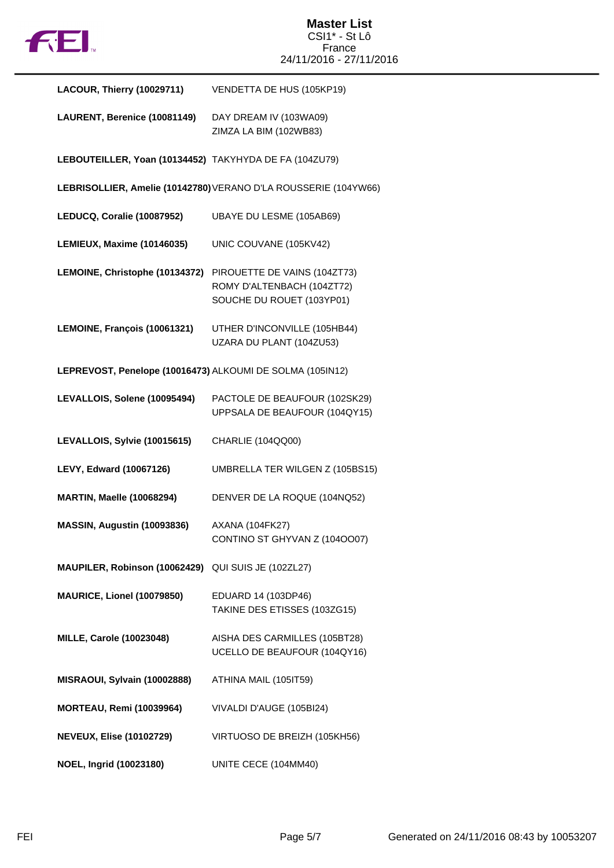

| LACOUR, Thierry (10029711)                                | VENDETTA DE HUS (105KP19)                                                               |
|-----------------------------------------------------------|-----------------------------------------------------------------------------------------|
| LAURENT, Berenice (10081149)                              | DAY DREAM IV (103WA09)<br>ZIMZA LA BIM (102WB83)                                        |
| LEBOUTEILLER, Yoan (10134452) TAKYHYDA DE FA (104ZU79)    |                                                                                         |
|                                                           | LEBRISOLLIER, Amelie (10142780) VERANO D'LA ROUSSERIE (104YW66)                         |
| LEDUCQ, Coralie (10087952)                                | UBAYE DU LESME (105AB69)                                                                |
| LEMIEUX, Maxime (10146035)                                | UNIC COUVANE (105KV42)                                                                  |
| LEMOINE, Christophe (10134372)                            | PIROUETTE DE VAINS (104ZT73)<br>ROMY D'ALTENBACH (104ZT72)<br>SOUCHE DU ROUET (103YP01) |
| LEMOINE, François (10061321)                              | UTHER D'INCONVILLE (105HB44)<br>UZARA DU PLANT (104ZU53)                                |
| LEPREVOST, Penelope (10016473) ALKOUMI DE SOLMA (105IN12) |                                                                                         |
| LEVALLOIS, Solene (10095494)                              | PACTOLE DE BEAUFOUR (102SK29)<br>UPPSALA DE BEAUFOUR (104QY15)                          |
| LEVALLOIS, Sylvie (10015615)                              | CHARLIE (104QQ00)                                                                       |
| LEVY, Edward (10067126)                                   | UMBRELLA TER WILGEN Z (105BS15)                                                         |
| <b>MARTIN, Maelle (10068294)</b>                          | DENVER DE LA ROQUE (104NQ52)                                                            |
| MASSIN, Augustin (10093836)                               | <b>AXANA (104FK27)</b><br>CONTINO ST GHYVAN Z (1040007)                                 |
| MAUPILER, Robinson (10062429)                             | QUI SUIS JE (102ZL27)                                                                   |
| MAURICE, Lionel (10079850)                                | EDUARD 14 (103DP46)<br>TAKINE DES ETISSES (103ZG15)                                     |
| <b>MILLE, Carole (10023048)</b>                           | AISHA DES CARMILLES (105BT28)<br>UCELLO DE BEAUFOUR (104QY16)                           |
| MISRAOUI, Sylvain (10002888)                              | ATHINA MAIL (105IT59)                                                                   |
| <b>MORTEAU, Remi (10039964)</b>                           | VIVALDI D'AUGE (105BI24)                                                                |
| <b>NEVEUX, Elise (10102729)</b>                           | VIRTUOSO DE BREIZH (105KH56)                                                            |
| NOEL, Ingrid (10023180)                                   | UNITE CECE (104MM40)                                                                    |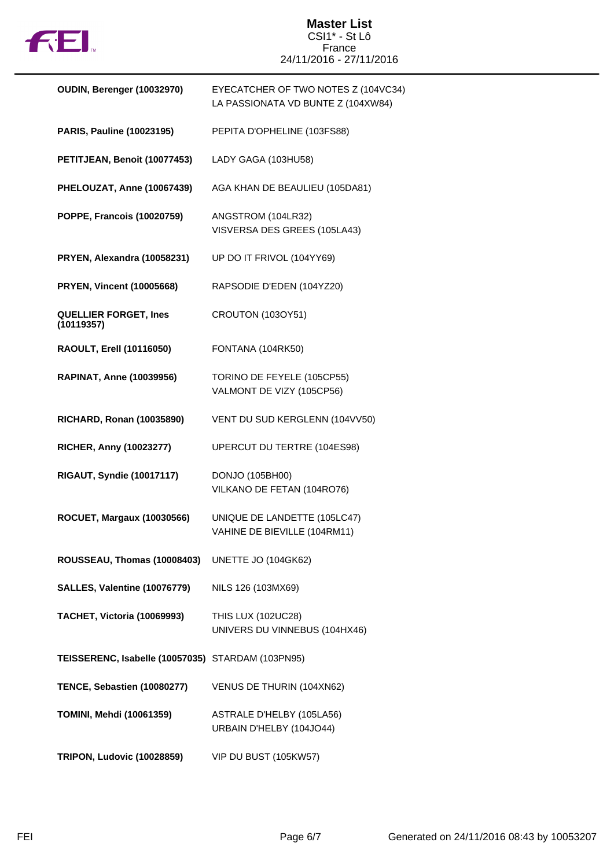

## **Master List** CSI1\* - St Lô France 24/11/2016 - 27/11/2016

| OUDIN, Berenger (10032970)                        | EYECATCHER OF TWO NOTES Z (104VC34)<br>LA PASSIONATA VD BUNTE Z (104XW84) |
|---------------------------------------------------|---------------------------------------------------------------------------|
| <b>PARIS, Pauline (10023195)</b>                  | PEPITA D'OPHELINE (103FS88)                                               |
| PETITJEAN, Benoit (10077453)                      | LADY GAGA (103HU58)                                                       |
| PHELOUZAT, Anne (10067439)                        | AGA KHAN DE BEAULIEU (105DA81)                                            |
| POPPE, Francois (10020759)                        | ANGSTROM (104LR32)<br>VISVERSA DES GREES (105LA43)                        |
| PRYEN, Alexandra (10058231)                       | UP DO IT FRIVOL (104YY69)                                                 |
| <b>PRYEN, Vincent (10005668)</b>                  | RAPSODIE D'EDEN (104YZ20)                                                 |
| <b>QUELLIER FORGET, Ines</b><br>(10119357)        | CROUTON (103OY51)                                                         |
| <b>RAOULT, Erell (10116050)</b>                   | FONTANA (104RK50)                                                         |
| <b>RAPINAT, Anne (10039956)</b>                   | TORINO DE FEYELE (105CP55)<br>VALMONT DE VIZY (105CP56)                   |
| <b>RICHARD, Ronan (10035890)</b>                  | VENT DU SUD KERGLENN (104VV50)                                            |
| RICHER, Anny (10023277)                           | UPERCUT DU TERTRE (104ES98)                                               |
| <b>RIGAUT, Syndie (10017117)</b>                  | DONJO (105BH00)<br>VILKANO DE FETAN (104RO76)                             |
| <b>ROCUET, Margaux (10030566)</b>                 | UNIQUE DE LANDETTE (105LC47)<br>VAHINE DE BIEVILLE (104RM11)              |
| ROUSSEAU, Thomas (10008403)                       | UNETTE JO (104GK62)                                                       |
| SALLES, Valentine (10076779)                      | NILS 126 (103MX69)                                                        |
| TACHET, Victoria (10069993)                       | THIS LUX (102UC28)<br>UNIVERS DU VINNEBUS (104HX46)                       |
| TEISSERENC, Isabelle (10057035) STARDAM (103PN95) |                                                                           |
| TENCE, Sebastien (10080277)                       | VENUS DE THURIN (104XN62)                                                 |
| <b>TOMINI, Mehdi (10061359)</b>                   | ASTRALE D'HELBY (105LA56)<br>URBAIN D'HELBY (104JO44)                     |
| <b>TRIPON, Ludovic (10028859)</b>                 | VIP DU BUST (105KW57)                                                     |